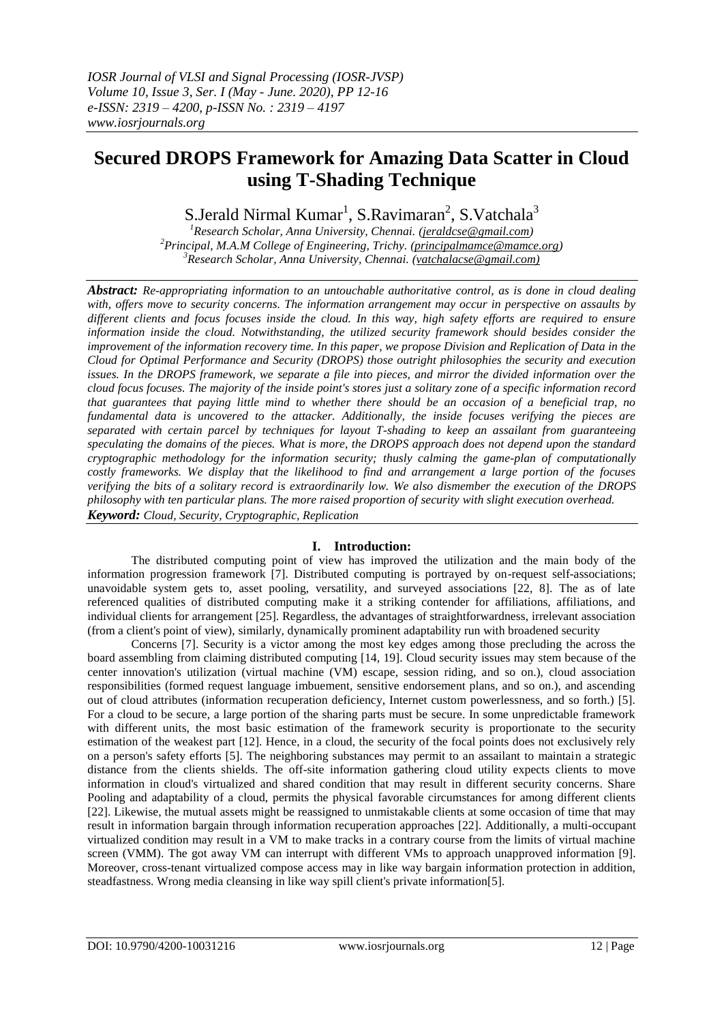# **Secured DROPS Framework for Amazing Data Scatter in Cloud using T-Shading Technique**

S.Jerald Nirmal Kumar<sup>1</sup>, S.Ravimaran<sup>2</sup>, S.Vatchala<sup>3</sup>

*<sup>1</sup>Research Scholar, Anna University, Chennai. [\(jeraldcse@gmail.com\)](mailto:jeraldcse@gmail.com) <sup>2</sup>Principal, M.A.M College of Engineering, Trichy. [\(principalmamce@mamce.org\)](mailto:principalmamce@mamce.org) <sup>3</sup>Research Scholar, Anna University, Chennai. (vatchalacse@gmail.com)*

*Abstract: Re-appropriating information to an untouchable authoritative control, as is done in cloud dealing with, offers move to security concerns. The information arrangement may occur in perspective on assaults by different clients and focus focuses inside the cloud. In this way, high safety efforts are required to ensure information inside the cloud. Notwithstanding, the utilized security framework should besides consider the improvement of the information recovery time. In this paper, we propose Division and Replication of Data in the Cloud for Optimal Performance and Security (DROPS) those outright philosophies the security and execution issues. In the DROPS framework, we separate a file into pieces, and mirror the divided information over the cloud focus focuses. The majority of the inside point's stores just a solitary zone of a specific information record that guarantees that paying little mind to whether there should be an occasion of a beneficial trap, no fundamental data is uncovered to the attacker. Additionally, the inside focuses verifying the pieces are separated with certain parcel by techniques for layout T-shading to keep an assailant from guaranteeing speculating the domains of the pieces. What is more, the DROPS approach does not depend upon the standard cryptographic methodology for the information security; thusly calming the game-plan of computationally costly frameworks. We display that the likelihood to find and arrangement a large portion of the focuses verifying the bits of a solitary record is extraordinarily low. We also dismember the execution of the DROPS philosophy with ten particular plans. The more raised proportion of security with slight execution overhead. Keyword: Cloud, Security, Cryptographic, Replication*

## **I. Introduction:**

The distributed computing point of view has improved the utilization and the main body of the information progression framework [7]. Distributed computing is portrayed by on-request self-associations; unavoidable system gets to, asset pooling, versatility, and surveyed associations [22, 8]. The as of late referenced qualities of distributed computing make it a striking contender for affiliations, affiliations, and individual clients for arrangement [25]. Regardless, the advantages of straightforwardness, irrelevant association (from a client's point of view), similarly, dynamically prominent adaptability run with broadened security

Concerns [7]. Security is a victor among the most key edges among those precluding the across the board assembling from claiming distributed computing [14, 19]. Cloud security issues may stem because of the center innovation's utilization (virtual machine (VM) escape, session riding, and so on.), cloud association responsibilities (formed request language imbuement, sensitive endorsement plans, and so on.), and ascending out of cloud attributes (information recuperation deficiency, Internet custom powerlessness, and so forth.) [5]. For a cloud to be secure, a large portion of the sharing parts must be secure. In some unpredictable framework with different units, the most basic estimation of the framework security is proportionate to the security estimation of the weakest part [12]. Hence, in a cloud, the security of the focal points does not exclusively rely on a person's safety efforts [5]. The neighboring substances may permit to an assailant to maintain a strategic distance from the clients shields. The off-site information gathering cloud utility expects clients to move information in cloud's virtualized and shared condition that may result in different security concerns. Share Pooling and adaptability of a cloud, permits the physical favorable circumstances for among different clients [22]. Likewise, the mutual assets might be reassigned to unmistakable clients at some occasion of time that may result in information bargain through information recuperation approaches [22]. Additionally, a multi-occupant virtualized condition may result in a VM to make tracks in a contrary course from the limits of virtual machine screen (VMM). The got away VM can interrupt with different VMs to approach unapproved information [9]. Moreover, cross-tenant virtualized compose access may in like way bargain information protection in addition, steadfastness. Wrong media cleansing in like way spill client's private information[5].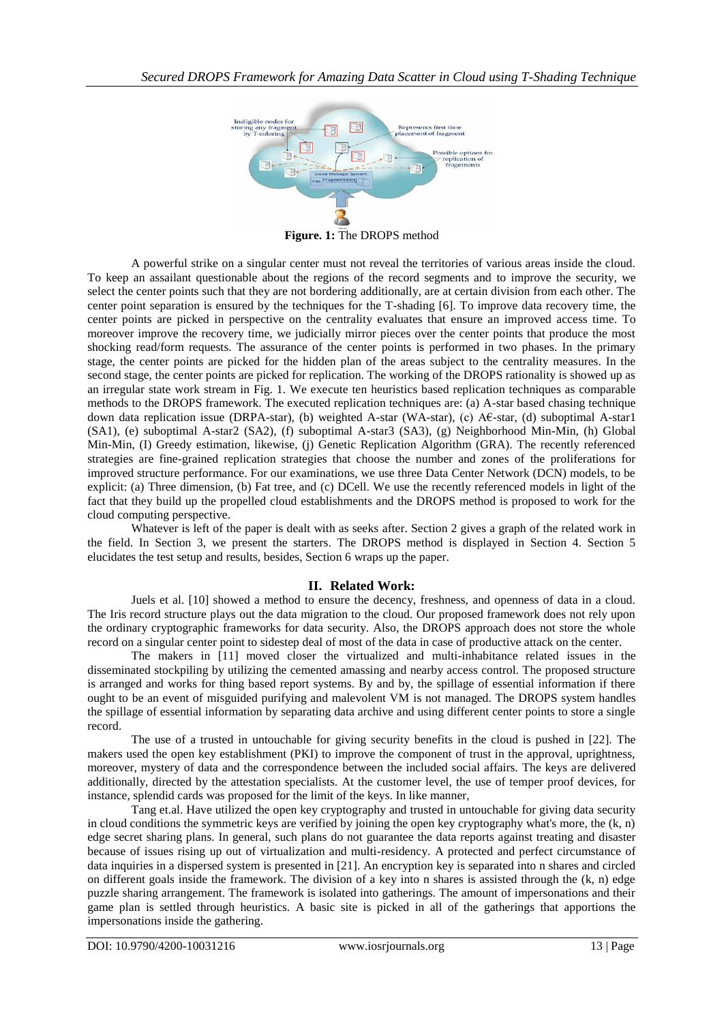

**Figure. 1:** The DROPS method

A powerful strike on a singular center must not reveal the territories of various areas inside the cloud. To keep an assailant questionable about the regions of the record segments and to improve the security, we select the center points such that they are not bordering additionally, are at certain division from each other. The center point separation is ensured by the techniques for the T-shading [6]. To improve data recovery time, the center points are picked in perspective on the centrality evaluates that ensure an improved access time. To moreover improve the recovery time, we judicially mirror pieces over the center points that produce the most shocking read/form requests. The assurance of the center points is performed in two phases. In the primary stage, the center points are picked for the hidden plan of the areas subject to the centrality measures. In the second stage, the center points are picked for replication. The working of the DROPS rationality is showed up as an irregular state work stream in Fig. 1. We execute ten heuristics based replication techniques as comparable methods to the DROPS framework. The executed replication techniques are: (a) A-star based chasing technique down data replication issue (DRPA-star), (b) weighted A-star (WA-star), (c) A€-star, (d) suboptimal A-star1 (SA1), (e) suboptimal A-star2 (SA2), (f) suboptimal A-star3 (SA3), (g) Neighborhood Min-Min, (h) Global Min-Min, (I) Greedy estimation, likewise, (j) Genetic Replication Algorithm (GRA). The recently referenced strategies are fine-grained replication strategies that choose the number and zones of the proliferations for improved structure performance. For our examinations, we use three Data Center Network (DCN) models, to be explicit: (a) Three dimension, (b) Fat tree, and (c) DCell. We use the recently referenced models in light of the fact that they build up the propelled cloud establishments and the DROPS method is proposed to work for the cloud computing perspective.

Whatever is left of the paper is dealt with as seeks after. Section 2 gives a graph of the related work in the field. In Section 3, we present the starters. The DROPS method is displayed in Section 4. Section 5 elucidates the test setup and results, besides, Section 6 wraps up the paper.

## **II. Related Work:**

Juels et al. [10] showed a method to ensure the decency, freshness, and openness of data in a cloud. The Iris record structure plays out the data migration to the cloud. Our proposed framework does not rely upon the ordinary cryptographic frameworks for data security. Also, the DROPS approach does not store the whole record on a singular center point to sidestep deal of most of the data in case of productive attack on the center.

The makers in [11] moved closer the virtualized and multi-inhabitance related issues in the disseminated stockpiling by utilizing the cemented amassing and nearby access control. The proposed structure is arranged and works for thing based report systems. By and by, the spillage of essential information if there ought to be an event of misguided purifying and malevolent VM is not managed. The DROPS system handles the spillage of essential information by separating data archive and using different center points to store a single record.

The use of a trusted in untouchable for giving security benefits in the cloud is pushed in [22]. The makers used the open key establishment (PKI) to improve the component of trust in the approval, uprightness, moreover, mystery of data and the correspondence between the included social affairs. The keys are delivered additionally, directed by the attestation specialists. At the customer level, the use of temper proof devices, for instance, splendid cards was proposed for the limit of the keys. In like manner,

Tang et.al. Have utilized the open key cryptography and trusted in untouchable for giving data security in cloud conditions the symmetric keys are verified by joining the open key cryptography what's more, the  $(k, n)$ edge secret sharing plans. In general, such plans do not guarantee the data reports against treating and disaster because of issues rising up out of virtualization and multi-residency. A protected and perfect circumstance of data inquiries in a dispersed system is presented in [21]. An encryption key is separated into n shares and circled on different goals inside the framework. The division of a key into n shares is assisted through the  $(k, n)$  edge puzzle sharing arrangement. The framework is isolated into gatherings. The amount of impersonations and their game plan is settled through heuristics. A basic site is picked in all of the gatherings that apportions the impersonations inside the gathering.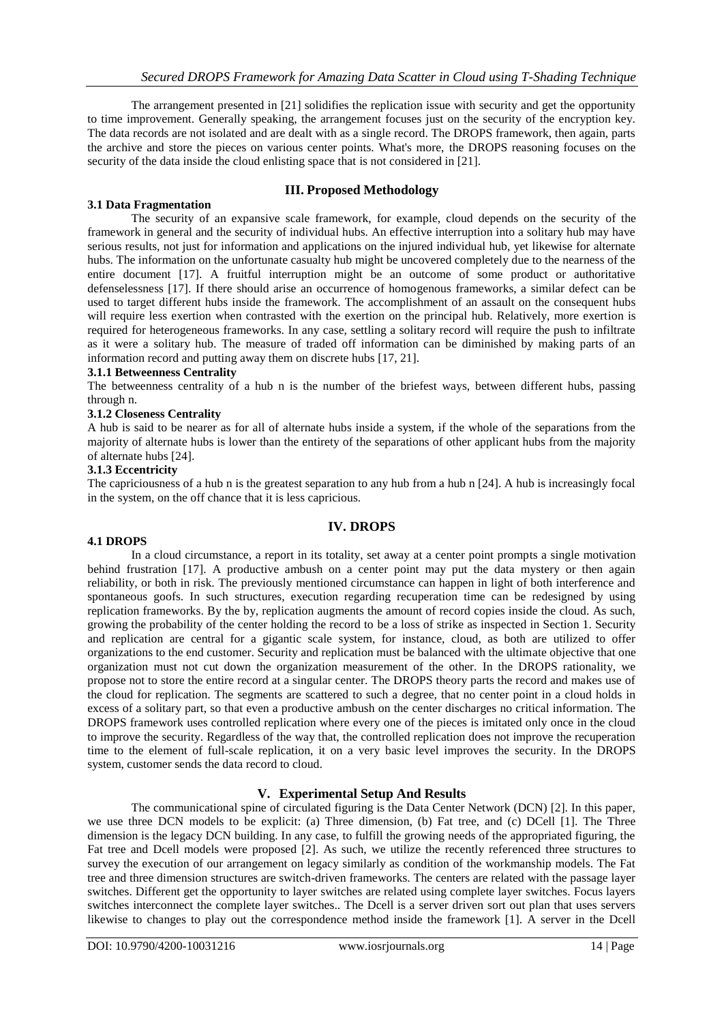The arrangement presented in [21] solidifies the replication issue with security and get the opportunity to time improvement. Generally speaking, the arrangement focuses just on the security of the encryption key. The data records are not isolated and are dealt with as a single record. The DROPS framework, then again, parts the archive and store the pieces on various center points. What's more, the DROPS reasoning focuses on the security of the data inside the cloud enlisting space that is not considered in [21].

## **III. Proposed Methodology**

### **3.1 Data Fragmentation**

The security of an expansive scale framework, for example, cloud depends on the security of the framework in general and the security of individual hubs. An effective interruption into a solitary hub may have serious results, not just for information and applications on the injured individual hub, yet likewise for alternate hubs. The information on the unfortunate casualty hub might be uncovered completely due to the nearness of the entire document [17]. A fruitful interruption might be an outcome of some product or authoritative defenselessness [17]. If there should arise an occurrence of homogenous frameworks, a similar defect can be used to target different hubs inside the framework. The accomplishment of an assault on the consequent hubs will require less exertion when contrasted with the exertion on the principal hub. Relatively, more exertion is required for heterogeneous frameworks. In any case, settling a solitary record will require the push to infiltrate as it were a solitary hub. The measure of traded off information can be diminished by making parts of an information record and putting away them on discrete hubs [17, 21].

### **3.1.1 Betweenness Centrality**

The betweenness centrality of a hub n is the number of the briefest ways, between different hubs, passing through n.

### **3.1.2 Closeness Centrality**

A hub is said to be nearer as for all of alternate hubs inside a system, if the whole of the separations from the majority of alternate hubs is lower than the entirety of the separations of other applicant hubs from the majority of alternate hubs [24].

### **3.1.3 Eccentricity**

The capriciousness of a hub n is the greatest separation to any hub from a hub n [24]. A hub is increasingly focal in the system, on the off chance that it is less capricious.

## **IV. DROPS**

#### **4.1 DROPS**

In a cloud circumstance, a report in its totality, set away at a center point prompts a single motivation behind frustration [17]. A productive ambush on a center point may put the data mystery or then again reliability, or both in risk. The previously mentioned circumstance can happen in light of both interference and spontaneous goofs. In such structures, execution regarding recuperation time can be redesigned by using replication frameworks. By the by, replication augments the amount of record copies inside the cloud. As such, growing the probability of the center holding the record to be a loss of strike as inspected in Section 1. Security and replication are central for a gigantic scale system, for instance, cloud, as both are utilized to offer organizations to the end customer. Security and replication must be balanced with the ultimate objective that one organization must not cut down the organization measurement of the other. In the DROPS rationality, we propose not to store the entire record at a singular center. The DROPS theory parts the record and makes use of the cloud for replication. The segments are scattered to such a degree, that no center point in a cloud holds in excess of a solitary part, so that even a productive ambush on the center discharges no critical information. The DROPS framework uses controlled replication where every one of the pieces is imitated only once in the cloud to improve the security. Regardless of the way that, the controlled replication does not improve the recuperation time to the element of full-scale replication, it on a very basic level improves the security. In the DROPS system, customer sends the data record to cloud.

## **V. Experimental Setup And Results**

The communicational spine of circulated figuring is the Data Center Network (DCN) [2]. In this paper, we use three DCN models to be explicit: (a) Three dimension, (b) Fat tree, and (c) DCell [1]. The Three dimension is the legacy DCN building. In any case, to fulfill the growing needs of the appropriated figuring, the Fat tree and Dcell models were proposed [2]. As such, we utilize the recently referenced three structures to survey the execution of our arrangement on legacy similarly as condition of the workmanship models. The Fat tree and three dimension structures are switch-driven frameworks. The centers are related with the passage layer switches. Different get the opportunity to layer switches are related using complete layer switches. Focus layers switches interconnect the complete layer switches.. The Dcell is a server driven sort out plan that uses servers likewise to changes to play out the correspondence method inside the framework [1]. A server in the Dcell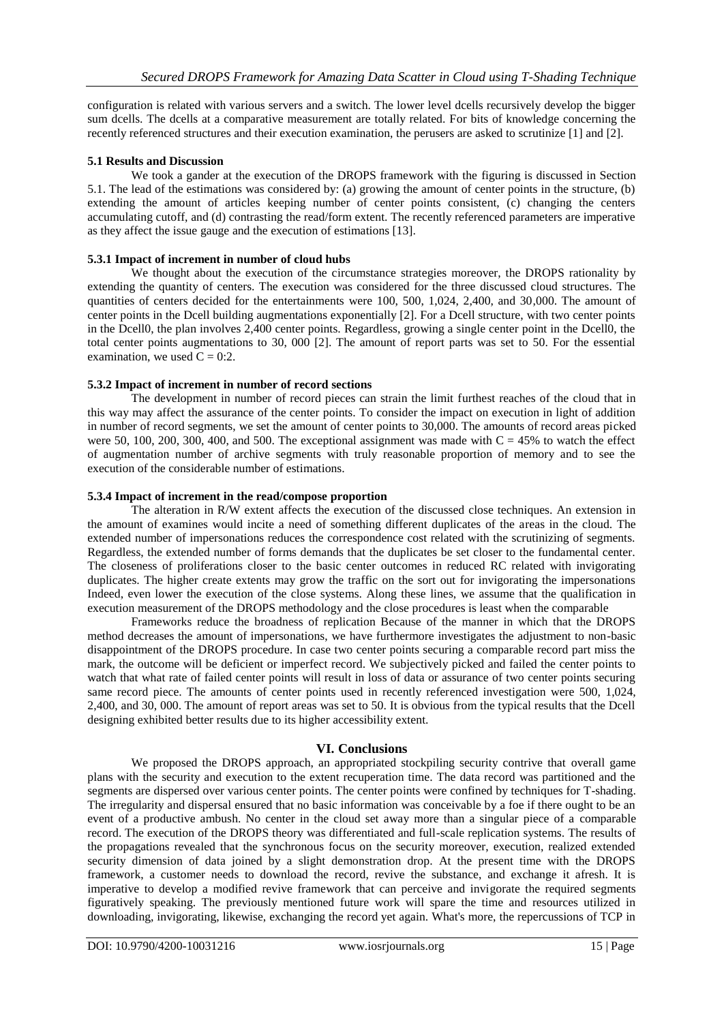configuration is related with various servers and a switch. The lower level dcells recursively develop the bigger sum dcells. The dcells at a comparative measurement are totally related. For bits of knowledge concerning the recently referenced structures and their execution examination, the perusers are asked to scrutinize [1] and [2].

## **5.1 Results and Discussion**

We took a gander at the execution of the DROPS framework with the figuring is discussed in Section 5.1. The lead of the estimations was considered by: (a) growing the amount of center points in the structure, (b) extending the amount of articles keeping number of center points consistent, (c) changing the centers accumulating cutoff, and (d) contrasting the read/form extent. The recently referenced parameters are imperative as they affect the issue gauge and the execution of estimations [13].

## **5.3.1 Impact of increment in number of cloud hubs**

We thought about the execution of the circumstance strategies moreover, the DROPS rationality by extending the quantity of centers. The execution was considered for the three discussed cloud structures. The quantities of centers decided for the entertainments were 100, 500, 1,024, 2,400, and 30,000. The amount of center points in the Dcell building augmentations exponentially [2]. For a Dcell structure, with two center points in the Dcell0, the plan involves 2,400 center points. Regardless, growing a single center point in the Dcell0, the total center points augmentations to 30, 000 [2]. The amount of report parts was set to 50. For the essential examination, we used  $C = 0:2$ .

## **5.3.2 Impact of increment in number of record sections**

The development in number of record pieces can strain the limit furthest reaches of the cloud that in this way may affect the assurance of the center points. To consider the impact on execution in light of addition in number of record segments, we set the amount of center points to 30,000. The amounts of record areas picked were 50, 100, 200, 300, 400, and 500. The exceptional assignment was made with  $C = 45%$  to watch the effect of augmentation number of archive segments with truly reasonable proportion of memory and to see the execution of the considerable number of estimations.

## **5.3.4 Impact of increment in the read/compose proportion**

The alteration in R/W extent affects the execution of the discussed close techniques. An extension in the amount of examines would incite a need of something different duplicates of the areas in the cloud. The extended number of impersonations reduces the correspondence cost related with the scrutinizing of segments. Regardless, the extended number of forms demands that the duplicates be set closer to the fundamental center. The closeness of proliferations closer to the basic center outcomes in reduced RC related with invigorating duplicates. The higher create extents may grow the traffic on the sort out for invigorating the impersonations Indeed, even lower the execution of the close systems. Along these lines, we assume that the qualification in execution measurement of the DROPS methodology and the close procedures is least when the comparable

Frameworks reduce the broadness of replication Because of the manner in which that the DROPS method decreases the amount of impersonations, we have furthermore investigates the adjustment to non-basic disappointment of the DROPS procedure. In case two center points securing a comparable record part miss the mark, the outcome will be deficient or imperfect record. We subjectively picked and failed the center points to watch that what rate of failed center points will result in loss of data or assurance of two center points securing same record piece. The amounts of center points used in recently referenced investigation were 500, 1,024, 2,400, and 30, 000. The amount of report areas was set to 50. It is obvious from the typical results that the Dcell designing exhibited better results due to its higher accessibility extent.

## **VI. Conclusions**

We proposed the DROPS approach, an appropriated stockpiling security contrive that overall game plans with the security and execution to the extent recuperation time. The data record was partitioned and the segments are dispersed over various center points. The center points were confined by techniques for T-shading. The irregularity and dispersal ensured that no basic information was conceivable by a foe if there ought to be an event of a productive ambush. No center in the cloud set away more than a singular piece of a comparable record. The execution of the DROPS theory was differentiated and full-scale replication systems. The results of the propagations revealed that the synchronous focus on the security moreover, execution, realized extended security dimension of data joined by a slight demonstration drop. At the present time with the DROPS framework, a customer needs to download the record, revive the substance, and exchange it afresh. It is imperative to develop a modified revive framework that can perceive and invigorate the required segments figuratively speaking. The previously mentioned future work will spare the time and resources utilized in downloading, invigorating, likewise, exchanging the record yet again. What's more, the repercussions of TCP in